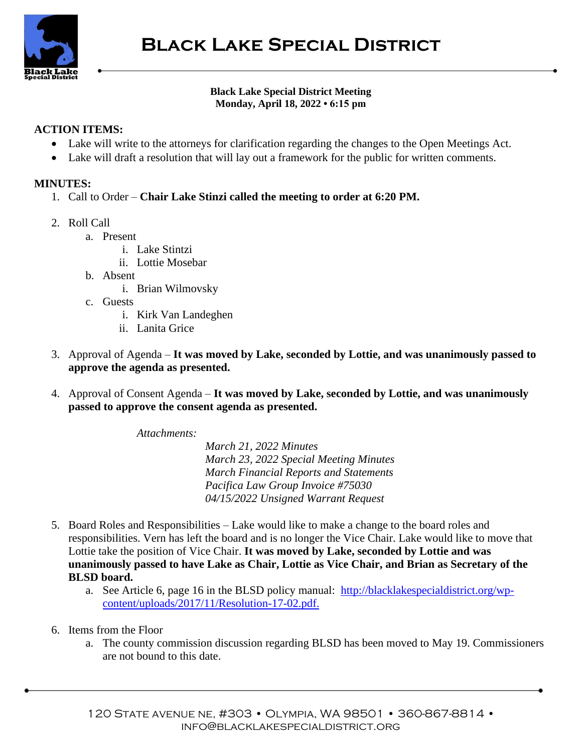

## **Black Lake Special District Meeting Monday, April 18, 2022 • 6:15 pm**

## **ACTION ITEMS:**

- Lake will write to the attorneys for clarification regarding the changes to the Open Meetings Act.
- Lake will draft a resolution that will lay out a framework for the public for written comments.

## **MINUTES:**

- 1. Call to Order **Chair Lake Stinzi called the meeting to order at 6:20 PM.**
- 2. Roll Call
	- a. Present
		- i. Lake Stintzi
		- ii. Lottie Mosebar
	- b. Absent
		- i. Brian Wilmovsky
	- c. Guests
		- i. Kirk Van Landeghen
		- ii. Lanita Grice
- 3. Approval of Agenda **It was moved by Lake, seconded by Lottie, and was unanimously passed to approve the agenda as presented.**
- 4. Approval of Consent Agenda **It was moved by Lake, seconded by Lottie, and was unanimously passed to approve the consent agenda as presented.**

*Attachments:*

*March 21, 2022 Minutes March 23, 2022 Special Meeting Minutes March Financial Reports and Statements Pacifica Law Group Invoice #75030 04/15/2022 Unsigned Warrant Request*

- 5. Board Roles and Responsibilities Lake would like to make a change to the board roles and responsibilities. Vern has left the board and is no longer the Vice Chair. Lake would like to move that Lottie take the position of Vice Chair. **It was moved by Lake, seconded by Lottie and was unanimously passed to have Lake as Chair, Lottie as Vice Chair, and Brian as Secretary of the BLSD board.**
	- a. See Article 6, page 16 in the BLSD policy manual: [http://blacklakespecialdistrict.org/wp](http://blacklakespecialdistrict.org/wp-content/uploads/2017/11/Resolution-17-02.pdf)[content/uploads/2017/11/Resolution-17-02.pdf.](http://blacklakespecialdistrict.org/wp-content/uploads/2017/11/Resolution-17-02.pdf)
- 6. Items from the Floor
	- a. The county commission discussion regarding BLSD has been moved to May 19. Commissioners are not bound to this date.